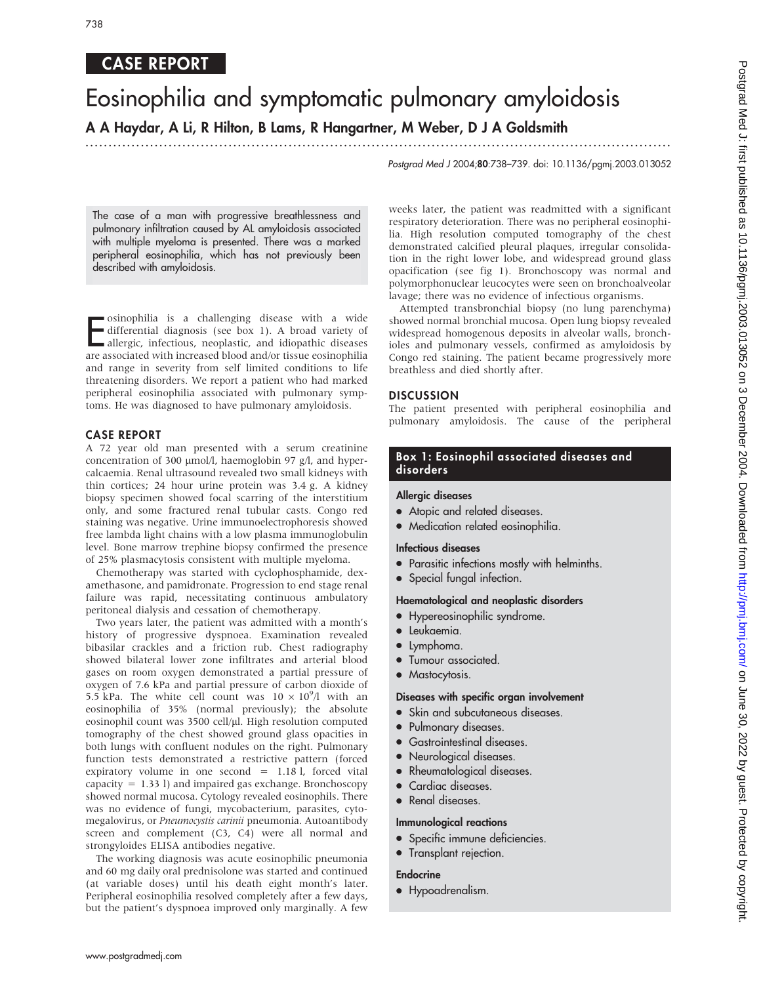# CASE REPORT

# Eosinophilia and symptomatic pulmonary amyloidosis A A Haydar, A Li, R Hilton, B Lams, R Hangartner, M Weber, D J A Goldsmith

...............................................................................................................................

Postgrad Med J 2004;80:738–739. doi: 10.1136/pgmj.2003.013052

The case of a man with progressive breathlessness and pulmonary infiltration caused by AL amyloidosis associated with multiple myeloma is presented. There was a marked peripheral eosinophilia, which has not previously been described with amyloidosis.

E osinophilia is a challenging disease with a wide differential diagnosis (see box 1). A broad variety of allergic, infectious, neoplastic, and idiopathic diseases are associated with increased blood and/or tissue eosinophilia and range in severity from self limited conditions to life threatening disorders. We report a patient who had marked peripheral eosinophilia associated with pulmonary symptoms. He was diagnosed to have pulmonary amyloidosis.

#### CASE REPORT

A 72 year old man presented with a serum creatinine concentration of 300 µmol/l, haemoglobin 97 g/l, and hypercalcaemia. Renal ultrasound revealed two small kidneys with thin cortices; 24 hour urine protein was 3.4 g. A kidney biopsy specimen showed focal scarring of the interstitium only, and some fractured renal tubular casts. Congo red staining was negative. Urine immunoelectrophoresis showed free lambda light chains with a low plasma immunoglobulin level. Bone marrow trephine biopsy confirmed the presence of 25% plasmacytosis consistent with multiple myeloma.

Chemotherapy was started with cyclophosphamide, dexamethasone, and pamidronate. Progression to end stage renal failure was rapid, necessitating continuous ambulatory peritoneal dialysis and cessation of chemotherapy.

Two years later, the patient was admitted with a month's history of progressive dyspnoea. Examination revealed bibasilar crackles and a friction rub. Chest radiography showed bilateral lower zone infiltrates and arterial blood gases on room oxygen demonstrated a partial pressure of oxygen of 7.6 kPa and partial pressure of carbon dioxide of 5.5 kPa. The white cell count was  $10 \times 10^9$ /l with an eosinophilia of 35% (normal previously); the absolute eosinophil count was 3500 cell/µl. High resolution computed tomography of the chest showed ground glass opacities in both lungs with confluent nodules on the right. Pulmonary function tests demonstrated a restrictive pattern (forced expiratory volume in one second = 1.18 l, forced vital capacity  $= 1.33$  l) and impaired gas exchange. Bronchoscopy showed normal mucosa. Cytology revealed eosinophils. There was no evidence of fungi, mycobacterium, parasites, cytomegalovirus, or Pneumocystis carinii pneumonia. Autoantibody screen and complement (C3, C4) were all normal and strongyloides ELISA antibodies negative.

The working diagnosis was acute eosinophilic pneumonia and 60 mg daily oral prednisolone was started and continued (at variable doses) until his death eight month's later. Peripheral eosinophilia resolved completely after a few days, but the patient's dyspnoea improved only marginally. A few

weeks later, the patient was readmitted with a significant respiratory deterioration. There was no peripheral eosinophilia. High resolution computed tomography of the chest demonstrated calcified pleural plaques, irregular consolidation in the right lower lobe, and widespread ground glass opacification (see fig 1). Bronchoscopy was normal and polymorphonuclear leucocytes were seen on bronchoalveolar lavage; there was no evidence of infectious organisms.

Attempted transbronchial biopsy (no lung parenchyma) showed normal bronchial mucosa. Open lung biopsy revealed widespread homogenous deposits in alveolar walls, bronchioles and pulmonary vessels, confirmed as amyloidosis by Congo red staining. The patient became progressively more breathless and died shortly after.

#### DISCUSSION

The patient presented with peripheral eosinophilia and pulmonary amyloidosis. The cause of the peripheral

### Box 1: Eosinophil associated diseases and disorders

#### Allergic diseases

- Atopic and related diseases.
- Medication related eosinophilia.

#### Infectious diseases

- Parasitic infections mostly with helminths.
- Special fungal infection.

#### Haematological and neoplastic disorders

- Hypereosinophilic syndrome.
- Leukaemia.
- Lymphoma.
- Tumour associated.
- Mastocytosis.

#### Diseases with specific organ involvement

- Skin and subcutaneous diseases.
- Pulmonary diseases.
- **•** Gastrointestinal diseases.
- Neurological diseases.
- Rheumatological diseases.
- Cardiac diseases.
- Renal diseases.

#### Immunological reactions

- Specific immune deficiencies.
- Transplant rejection.

#### Endocrine

• Hypoadrenalism.